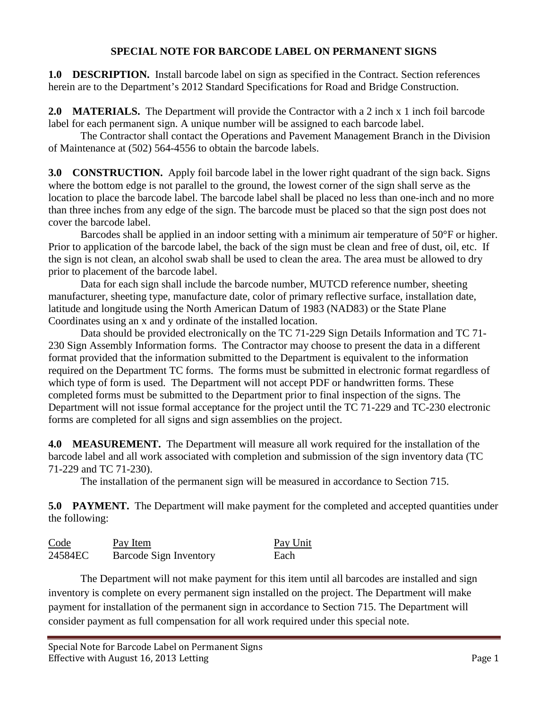## **SPECIAL NOTE FOR BARCODE LABEL ON PERMANENT SIGNS**

**1.0 DESCRIPTION.** Install barcode label on sign as specified in the Contract. Section references herein are to the Department's 2012 Standard Specifications for Road and Bridge Construction.

**2.0 MATERIALS.** The Department will provide the Contractor with a 2 inch x 1 inch foil barcode label for each permanent sign. A unique number will be assigned to each barcode label.

The Contractor shall contact the Operations and Pavement Management Branch in the Division of Maintenance at (502) 564-4556 to obtain the barcode labels.

**3.0 CONSTRUCTION.** Apply foil barcode label in the lower right quadrant of the sign back. Signs where the bottom edge is not parallel to the ground, the lowest corner of the sign shall serve as the location to place the barcode label. The barcode label shall be placed no less than one-inch and no more than three inches from any edge of the sign. The barcode must be placed so that the sign post does not cover the barcode label.

Barcodes shall be applied in an indoor setting with a minimum air temperature of 50°F or higher. Prior to application of the barcode label, the back of the sign must be clean and free of dust, oil, etc. If the sign is not clean, an alcohol swab shall be used to clean the area. The area must be allowed to dry prior to placement of the barcode label.

Data for each sign shall include the barcode number, MUTCD reference number, sheeting manufacturer, sheeting type, manufacture date, color of primary reflective surface, installation date, latitude and longitude using the North American Datum of 1983 (NAD83) or the State Plane Coordinates using an x and y ordinate of the installed location.

Data should be provided electronically on the TC 71-229 Sign Details Information and TC 71- 230 Sign Assembly Information forms. The Contractor may choose to present the data in a different format provided that the information submitted to the Department is equivalent to the information required on the Department TC forms. The forms must be submitted in electronic format regardless of which type of form is used. The Department will not accept PDF or handwritten forms. These completed forms must be submitted to the Department prior to final inspection of the signs. The Department will not issue formal acceptance for the project until the TC 71-229 and TC-230 electronic forms are completed for all signs and sign assemblies on the project.

**4.0 MEASUREMENT.** The Department will measure all work required for the installation of the barcode label and all work associated with completion and submission of the sign inventory data (TC 71-229 and TC 71-230).

The installation of the permanent sign will be measured in accordance to Section 715.

**5.0 PAYMENT.** The Department will make payment for the completed and accepted quantities under the following:

| Code    | Pay Item               | Pay Unit |
|---------|------------------------|----------|
| 24584EC | Barcode Sign Inventory | Each     |

The Department will not make payment for this item until all barcodes are installed and sign inventory is complete on every permanent sign installed on the project. The Department will make payment for installation of the permanent sign in accordance to Section 715. The Department will consider payment as full compensation for all work required under this special note.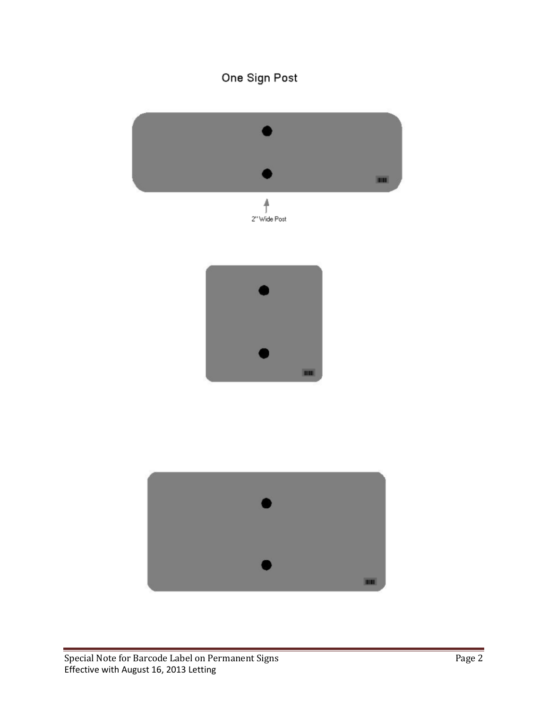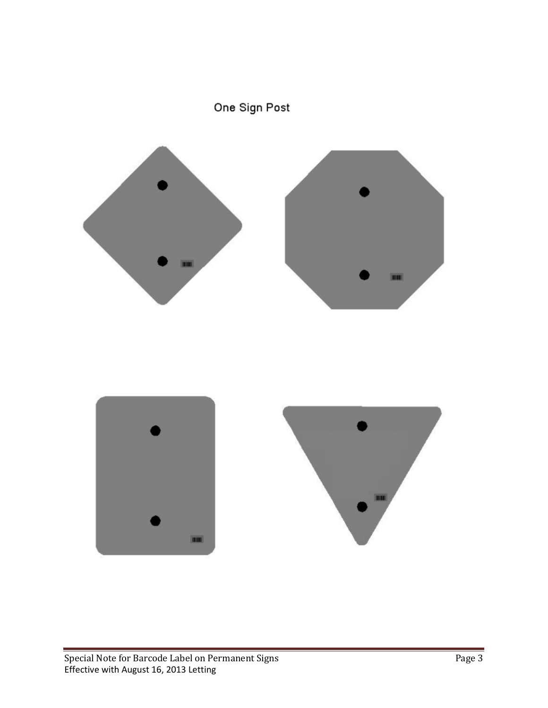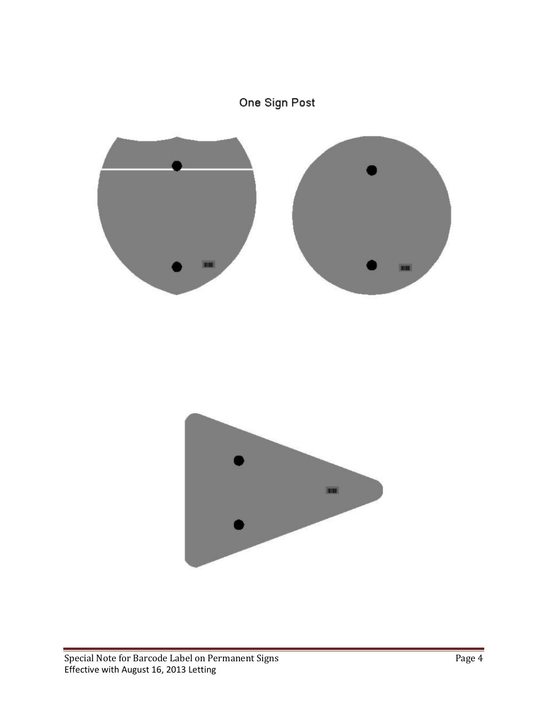## One Sign Post

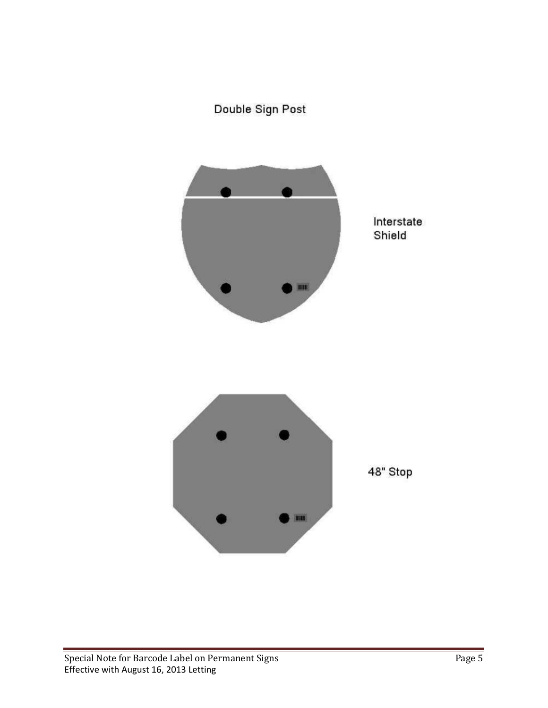